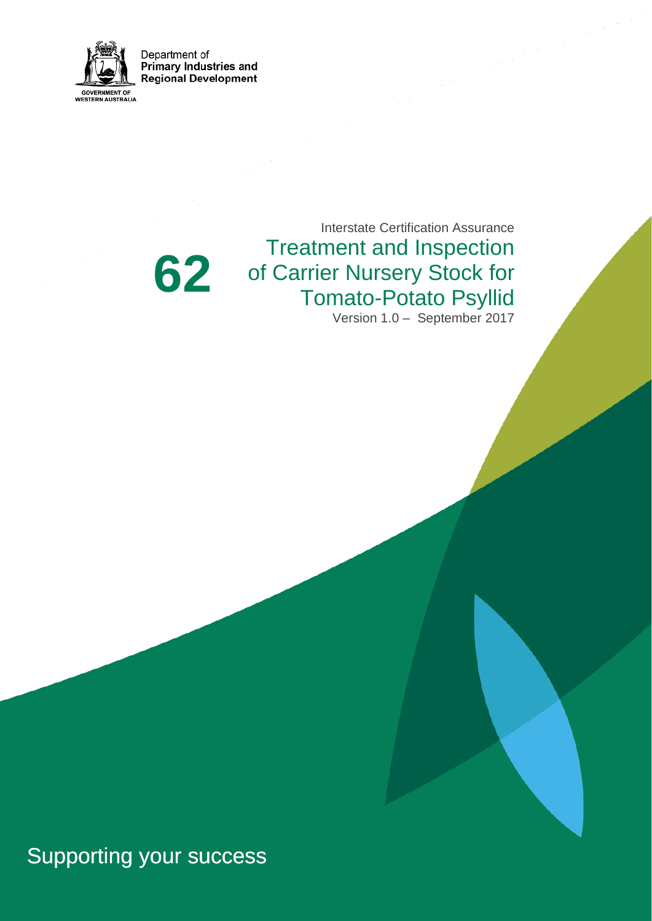

Department of **Primary Industries and Regional Development** 

# **62**

Interstate Certification Assurance Treatment and Inspection of Carrier Nursery Stock for Tomato-Potato Psyllid Version 1.0 – September 2017

# Supporting your success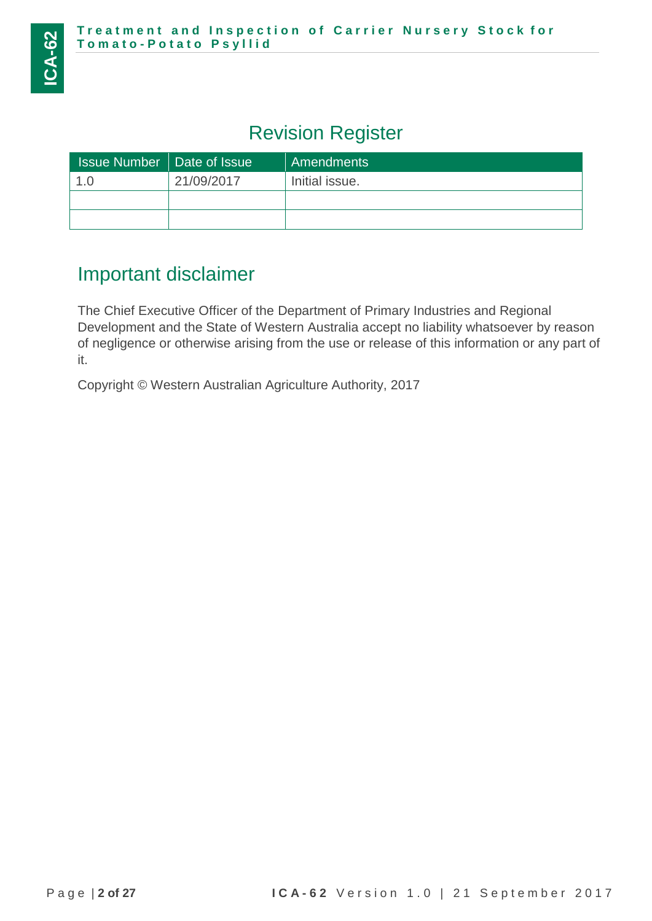### Revision Register

| <b>Issue Number   Date of Issue</b> |            | Amendments     |
|-------------------------------------|------------|----------------|
| 1.C                                 | 21/09/2017 | Initial issue. |
|                                     |            |                |
|                                     |            |                |

### Important disclaimer

The Chief Executive Officer of the Department of Primary Industries and Regional Development and the State of Western Australia accept no liability whatsoever by reason of negligence or otherwise arising from the use or release of this information or any part of it.

Copyright © Western Australian Agriculture Authority, 2017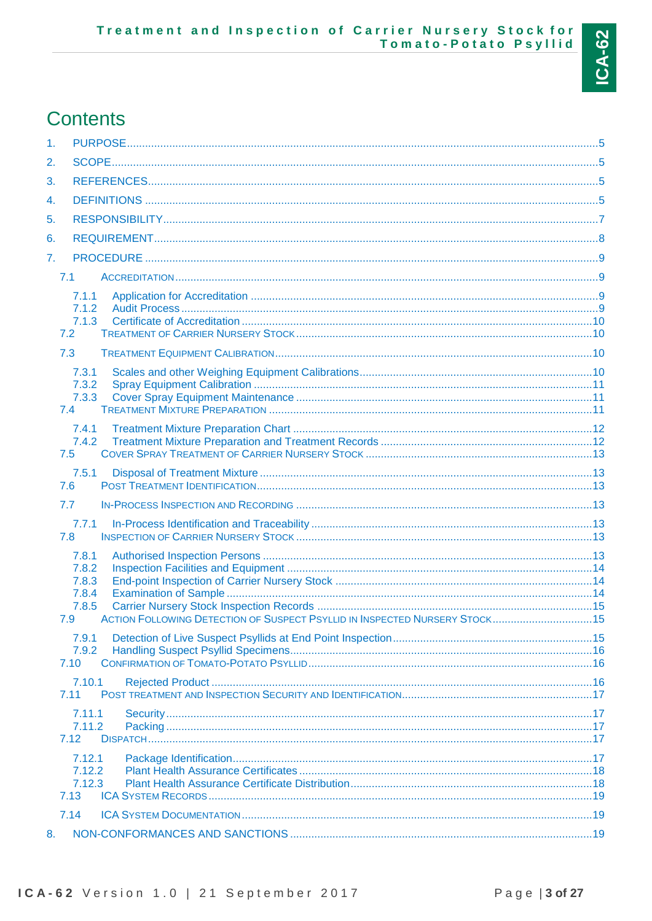# **Contents**

| 1 <sub>1</sub>   |                                                                                                                                 |  |
|------------------|---------------------------------------------------------------------------------------------------------------------------------|--|
| 2.               |                                                                                                                                 |  |
| 3.               |                                                                                                                                 |  |
| 4.               |                                                                                                                                 |  |
| 5.               |                                                                                                                                 |  |
| 6.               |                                                                                                                                 |  |
| $\overline{7}$ . |                                                                                                                                 |  |
|                  | 7.1                                                                                                                             |  |
|                  | 7.1.1<br>7.1.2                                                                                                                  |  |
|                  | 7.1.3<br>7.2                                                                                                                    |  |
|                  | 7.3                                                                                                                             |  |
|                  | 7.3.1<br>7.3.2<br>7.3.3<br>7.4                                                                                                  |  |
|                  | 7.4.1<br>7.4.2<br>7.5                                                                                                           |  |
|                  | 7.5.1<br>7.6                                                                                                                    |  |
|                  | 7.7                                                                                                                             |  |
|                  | 7.7.1<br>7.8                                                                                                                    |  |
|                  | 7.8.1<br>7.8.2<br>7.8.3<br>7.8.4<br>7.8.5<br>ACTION FOLLOWING DETECTION OF SUSPECT PSYLLID IN INSPECTED NURSERY STOCK 15<br>7.9 |  |
|                  | 7.9.1<br>7.9.2<br>7.10                                                                                                          |  |
|                  | 7.10.1<br>7.11                                                                                                                  |  |
|                  | 7.11.1<br>7.11.2<br>7.12                                                                                                        |  |
|                  | 7.12.1<br>7.12.2<br>7.12.3<br>7.13                                                                                              |  |
|                  | 7.14                                                                                                                            |  |
| 8.               |                                                                                                                                 |  |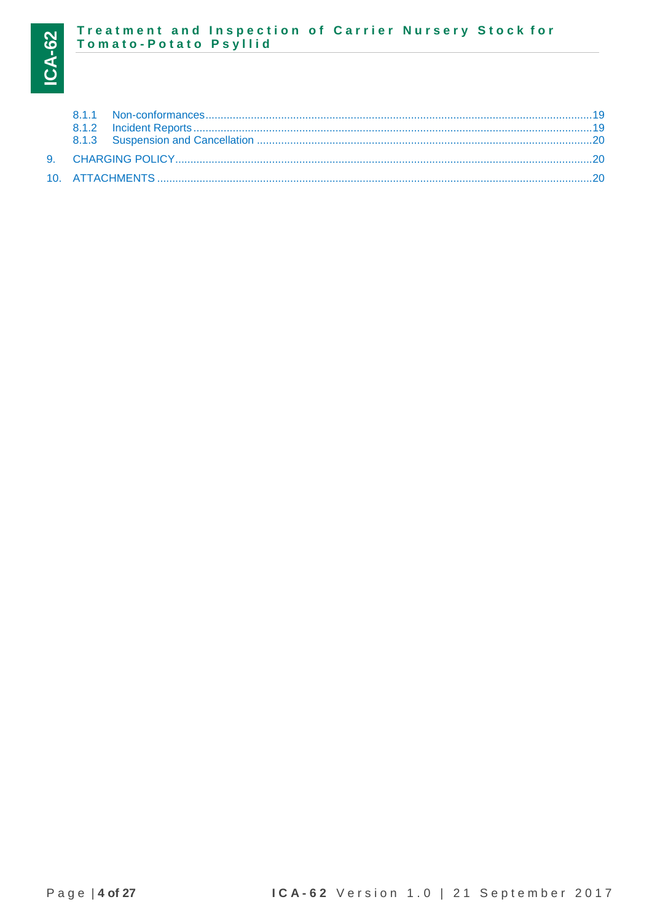# Treatment and Inspection of Carrier Nursery Stock for<br>Tomato-Potato Psyllid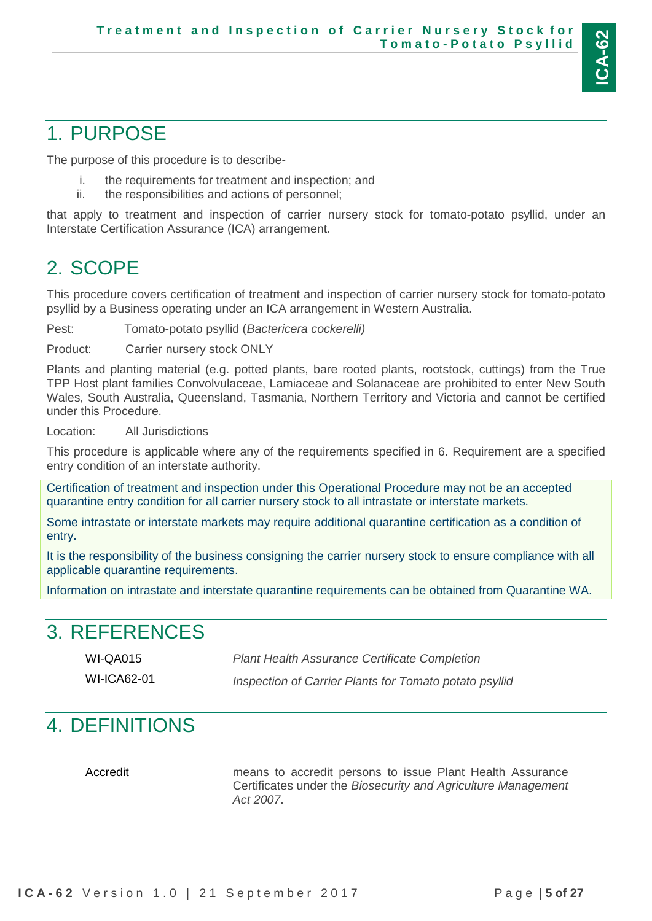

### <span id="page-4-0"></span>1. PURPOSE

The purpose of this procedure is to describe-

- i. the requirements for treatment and inspection; and
- ii. the responsibilities and actions of personnel;

that apply to treatment and inspection of carrier nursery stock for tomato-potato psyllid, under an Interstate Certification Assurance (ICA) arrangement.

### <span id="page-4-1"></span>2. SCOPE

This procedure covers certification of treatment and inspection of carrier nursery stock for tomato-potato psyllid by a Business operating under an ICA arrangement in Western Australia.

Pest: Tomato-potato psyllid (*Bactericera cockerelli)*

Product: Carrier nursery stock ONLY

Plants and planting material (e.g. potted plants, bare rooted plants, rootstock, cuttings) from the True TPP Host plant families Convolvulaceae, Lamiaceae and Solanaceae are prohibited to enter New South Wales, South Australia, Queensland, Tasmania, Northern Territory and Victoria and cannot be certified under this Procedure.

Location: All Jurisdictions

This procedure is applicable where any of the requirements specified in 6. Requirement are a specified entry condition of an interstate authority.

Certification of treatment and inspection under this Operational Procedure may not be an accepted quarantine entry condition for all carrier nursery stock to all intrastate or interstate markets.

Some intrastate or interstate markets may require additional quarantine certification as a condition of entry.

It is the responsibility of the business consigning the carrier nursery stock to ensure compliance with all applicable quarantine requirements.

Information on intrastate and interstate quarantine requirements can be obtained from Quarantine WA.

### <span id="page-4-2"></span>3. REFERENCES

WI-QA015 *Plant Health Assurance Certificate Completion*

WI-ICA62-01 *Inspection of Carrier Plants for Tomato potato psyllid*

### <span id="page-4-3"></span>4. DEFINITIONS

Accredit means to accredit persons to issue Plant Health Assurance Certificates under the *Biosecurity and Agriculture Management Act 2007*.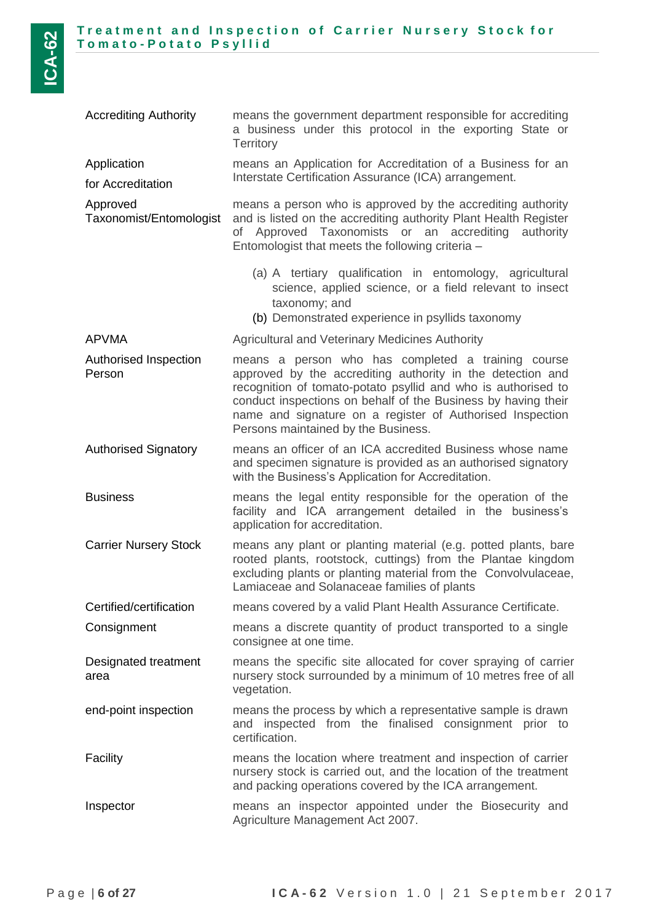| <b>Accrediting Authority</b>        | means the government department responsible for accrediting<br>a business under this protocol in the exporting State or<br><b>Territory</b>                                                                                                                                                                                                            |
|-------------------------------------|--------------------------------------------------------------------------------------------------------------------------------------------------------------------------------------------------------------------------------------------------------------------------------------------------------------------------------------------------------|
| Application<br>for Accreditation    | means an Application for Accreditation of a Business for an<br>Interstate Certification Assurance (ICA) arrangement.                                                                                                                                                                                                                                   |
| Approved<br>Taxonomist/Entomologist | means a person who is approved by the accrediting authority<br>and is listed on the accrediting authority Plant Health Register<br>of Approved Taxonomists or an accrediting authority<br>Entomologist that meets the following criteria -                                                                                                             |
|                                     | (a) A tertiary qualification in entomology, agricultural<br>science, applied science, or a field relevant to insect<br>taxonomy; and<br>(b) Demonstrated experience in psyllids taxonomy                                                                                                                                                               |
| <b>APVMA</b>                        | <b>Agricultural and Veterinary Medicines Authority</b>                                                                                                                                                                                                                                                                                                 |
| Authorised Inspection<br>Person     | means a person who has completed a training course<br>approved by the accrediting authority in the detection and<br>recognition of tomato-potato psyllid and who is authorised to<br>conduct inspections on behalf of the Business by having their<br>name and signature on a register of Authorised Inspection<br>Persons maintained by the Business. |
| <b>Authorised Signatory</b>         | means an officer of an ICA accredited Business whose name<br>and specimen signature is provided as an authorised signatory<br>with the Business's Application for Accreditation.                                                                                                                                                                       |
| <b>Business</b>                     | means the legal entity responsible for the operation of the<br>facility and ICA arrangement detailed in the business's<br>application for accreditation.                                                                                                                                                                                               |
| <b>Carrier Nursery Stock</b>        | means any plant or planting material (e.g. potted plants, bare<br>rooted plants, rootstock, cuttings) from the Plantae kingdom<br>excluding plants or planting material from the Convolvulaceae,<br>Lamiaceae and Solanaceae families of plants                                                                                                        |
| Certified/certification             | means covered by a valid Plant Health Assurance Certificate.                                                                                                                                                                                                                                                                                           |
| Consignment                         | means a discrete quantity of product transported to a single<br>consignee at one time.                                                                                                                                                                                                                                                                 |
| Designated treatment<br>area        | means the specific site allocated for cover spraying of carrier<br>nursery stock surrounded by a minimum of 10 metres free of all<br>vegetation.                                                                                                                                                                                                       |
| end-point inspection                | means the process by which a representative sample is drawn<br>and inspected from the finalised consignment prior to<br>certification.                                                                                                                                                                                                                 |
| Facility                            | means the location where treatment and inspection of carrier<br>nursery stock is carried out, and the location of the treatment<br>and packing operations covered by the ICA arrangement.                                                                                                                                                              |
| Inspector                           | means an inspector appointed under the Biosecurity and<br>Agriculture Management Act 2007.                                                                                                                                                                                                                                                             |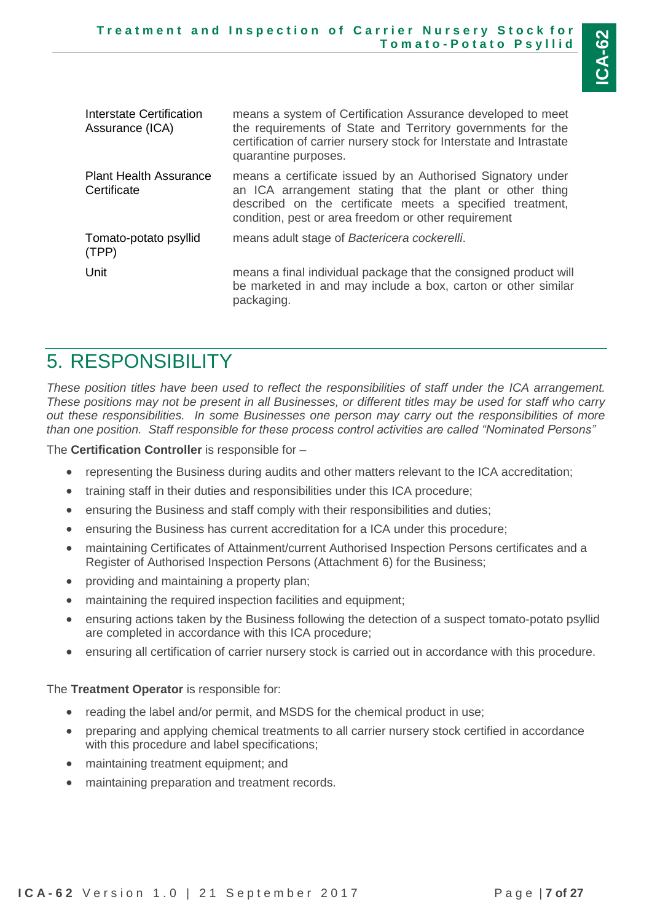| Interstate Certification<br>Assurance (ICA)  | means a system of Certification Assurance developed to meet<br>the requirements of State and Territory governments for the<br>certification of carrier nursery stock for Interstate and Intrastate<br>quarantine purposes.                   |
|----------------------------------------------|----------------------------------------------------------------------------------------------------------------------------------------------------------------------------------------------------------------------------------------------|
| <b>Plant Health Assurance</b><br>Certificate | means a certificate issued by an Authorised Signatory under<br>an ICA arrangement stating that the plant or other thing<br>described on the certificate meets a specified treatment,<br>condition, pest or area freedom or other requirement |
| Tomato-potato psyllid<br>(TPP)               | means adult stage of Bactericera cockerelli.                                                                                                                                                                                                 |
| Unit                                         | means a final individual package that the consigned product will<br>be marketed in and may include a box, carton or other similar<br>packaging.                                                                                              |

### <span id="page-6-0"></span>5. RESPONSIBILITY

*These position titles have been used to reflect the responsibilities of staff under the ICA arrangement. These positions may not be present in all Businesses, or different titles may be used for staff who carry out these responsibilities. In some Businesses one person may carry out the responsibilities of more than one position. Staff responsible for these process control activities are called "Nominated Persons"*

The **Certification Controller** is responsible for –

- representing the Business during audits and other matters relevant to the ICA accreditation;
- training staff in their duties and responsibilities under this ICA procedure;
- ensuring the Business and staff comply with their responsibilities and duties;
- ensuring the Business has current accreditation for a ICA under this procedure;
- maintaining Certificates of Attainment/current Authorised Inspection Persons certificates and a Register of Authorised Inspection Persons (Attachment 6) for the Business;
- providing and maintaining a property plan;
- maintaining the required inspection facilities and equipment;
- ensuring actions taken by the Business following the detection of a suspect tomato-potato psyllid are completed in accordance with this ICA procedure;
- ensuring all certification of carrier nursery stock is carried out in accordance with this procedure.

The **Treatment Operator** is responsible for:

- reading the label and/or permit, and MSDS for the chemical product in use;
- preparing and applying chemical treatments to all carrier nursery stock certified in accordance with this procedure and label specifications;
- maintaining treatment equipment; and
- maintaining preparation and treatment records.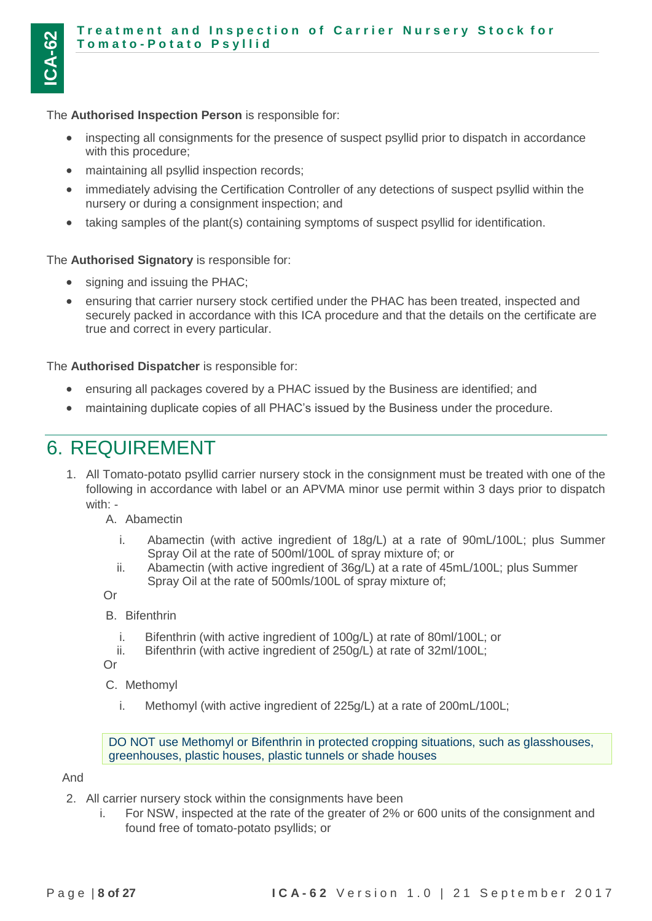#### **Treatment and Inspection of Carrier Nursery Stock for T o m a t o - P o t a t o P s y l l i d**

The **Authorised Inspection Person** is responsible for:

- inspecting all consignments for the presence of suspect psyllid prior to dispatch in accordance with this procedure;
- maintaining all psyllid inspection records;
- immediately advising the Certification Controller of any detections of suspect psyllid within the nursery or during a consignment inspection; and
- taking samples of the plant(s) containing symptoms of suspect psyllid for identification.

The **Authorised Signatory** is responsible for:

- signing and issuing the PHAC;
- ensuring that carrier nursery stock certified under the PHAC has been treated, inspected and securely packed in accordance with this ICA procedure and that the details on the certificate are true and correct in every particular.

The **Authorised Dispatcher** is responsible for:

- ensuring all packages covered by a PHAC issued by the Business are identified; and
- maintaining duplicate copies of all PHAC's issued by the Business under the procedure.

### <span id="page-7-0"></span>6. REQUIREMENT

1. All Tomato-potato psyllid carrier nursery stock in the consignment must be treated with one of the following in accordance with label or an APVMA minor use permit within 3 days prior to dispatch with: -

A. Abamectin

- i. Abamectin (with active ingredient of 18g/L) at a rate of 90mL/100L; plus Summer Spray Oil at the rate of 500ml/100L of spray mixture of; or
- ii. Abamectin (with active ingredient of 36g/L) at a rate of 45mL/100L; plus Summer Spray Oil at the rate of 500mls/100L of spray mixture of;

Or

B. Bifenthrin

- i. Bifenthrin (with active ingredient of 100g/L) at rate of 80ml/100L; or
- ii. Bifenthrin (with active ingredient of 250g/L) at rate of 32ml/100L;

Or

C. Methomyl

i. Methomyl (with active ingredient of 225g/L) at a rate of 200mL/100L;

DO NOT use Methomyl or Bifenthrin in protected cropping situations, such as glasshouses, greenhouses, plastic houses, plastic tunnels or shade houses

And

- 2. All carrier nursery stock within the consignments have been
	- i. For NSW, inspected at the rate of the greater of 2% or 600 units of the consignment and found free of tomato-potato psyllids; or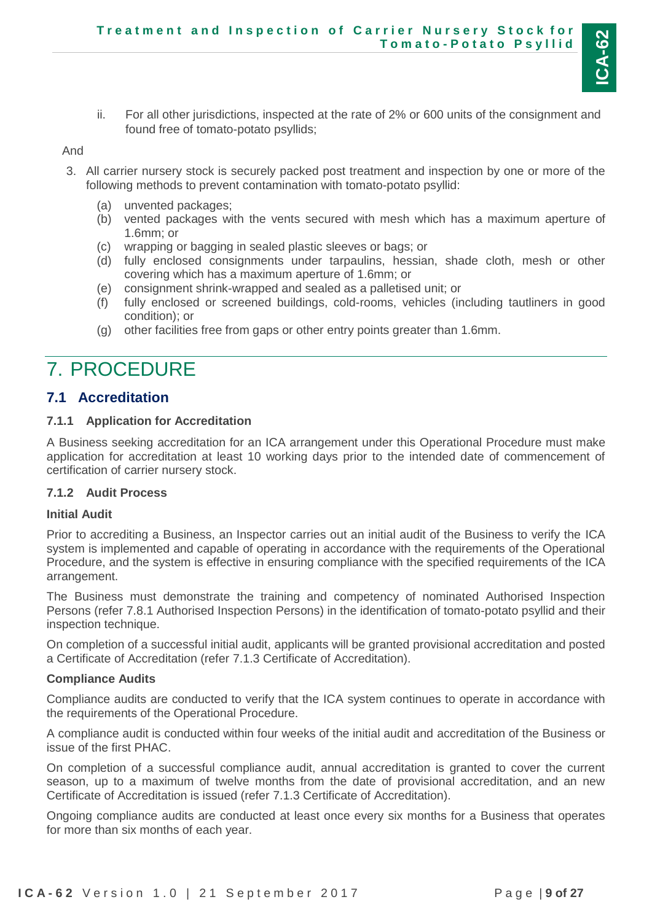

ii. For all other jurisdictions, inspected at the rate of 2% or 600 units of the consignment and found free of tomato-potato psyllids;

And

- 3. All carrier nursery stock is securely packed post treatment and inspection by one or more of the following methods to prevent contamination with tomato-potato psyllid:
	- (a) unvented packages;
	- (b) vented packages with the vents secured with mesh which has a maximum aperture of 1.6mm; or
	- (c) wrapping or bagging in sealed plastic sleeves or bags; or
	- (d) fully enclosed consignments under tarpaulins, hessian, shade cloth, mesh or other covering which has a maximum aperture of 1.6mm; or
	- (e) consignment shrink-wrapped and sealed as a palletised unit; or
	- (f) fully enclosed or screened buildings, cold-rooms, vehicles (including tautliners in good condition); or
	- (g) other facilities free from gaps or other entry points greater than 1.6mm.

### <span id="page-8-0"></span>7. PROCEDURE

#### <span id="page-8-1"></span>**7.1 Accreditation**

#### <span id="page-8-2"></span>**7.1.1 Application for Accreditation**

A Business seeking accreditation for an ICA arrangement under this Operational Procedure must make application for accreditation at least 10 working days prior to the intended date of commencement of certification of carrier nursery stock.

#### <span id="page-8-3"></span>**7.1.2 Audit Process**

#### **Initial Audit**

Prior to accrediting a Business, an Inspector carries out an initial audit of the Business to verify the ICA system is implemented and capable of operating in accordance with the requirements of the Operational Procedure, and the system is effective in ensuring compliance with the specified requirements of the ICA arrangement.

The Business must demonstrate the training and competency of nominated Authorised Inspection Persons (refer 7.8.1 Authorised Inspection Persons) in the identification of tomato-potato psyllid and their inspection technique.

On completion of a successful initial audit, applicants will be granted provisional accreditation and posted a Certificate of Accreditation (refer [7.1.3](#page-9-0) Certificate of Accreditation).

#### **Compliance Audits**

Compliance audits are conducted to verify that the ICA system continues to operate in accordance with the requirements of the Operational Procedure.

A compliance audit is conducted within four weeks of the initial audit and accreditation of the Business or issue of the first PHAC.

On completion of a successful compliance audit, annual accreditation is granted to cover the current season, up to a maximum of twelve months from the date of provisional accreditation, and an new Certificate of Accreditation is issued (refer [7.1.3](#page-9-0) Certificate of Accreditation).

Ongoing compliance audits are conducted at least once every six months for a Business that operates for more than six months of each year.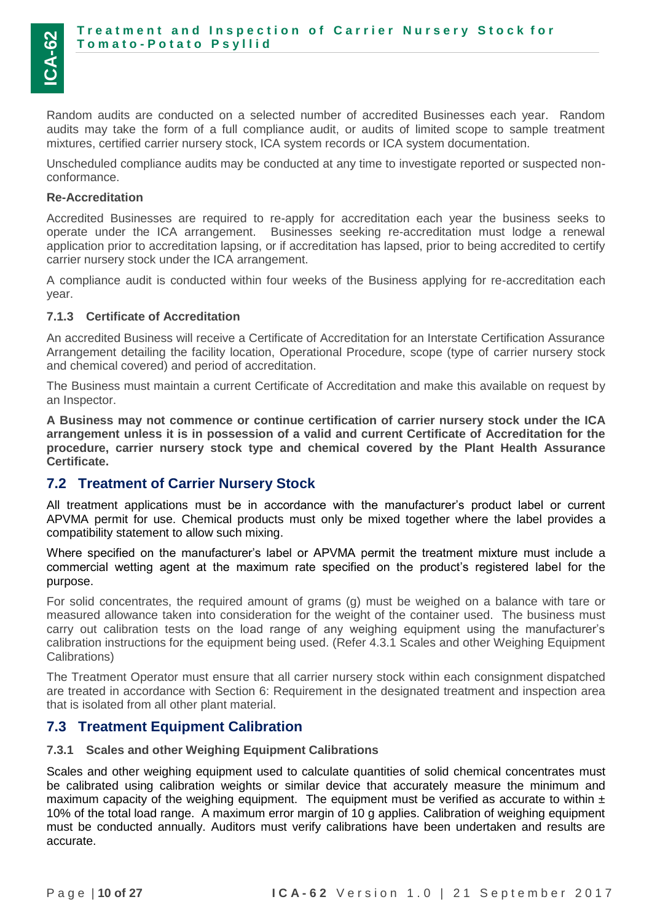Random audits are conducted on a selected number of accredited Businesses each year. Random audits may take the form of a full compliance audit, or audits of limited scope to sample treatment mixtures, certified carrier nursery stock, ICA system records or ICA system documentation.

Unscheduled compliance audits may be conducted at any time to investigate reported or suspected nonconformance.

#### **Re-Accreditation**

Accredited Businesses are required to re-apply for accreditation each year the business seeks to operate under the ICA arrangement. Businesses seeking re-accreditation must lodge a renewal application prior to accreditation lapsing, or if accreditation has lapsed, prior to being accredited to certify carrier nursery stock under the ICA arrangement.

A compliance audit is conducted within four weeks of the Business applying for re-accreditation each year.

#### <span id="page-9-0"></span>**7.1.3 Certificate of Accreditation**

An accredited Business will receive a Certificate of Accreditation for an Interstate Certification Assurance Arrangement detailing the facility location, Operational Procedure, scope (type of carrier nursery stock and chemical covered) and period of accreditation.

The Business must maintain a current Certificate of Accreditation and make this available on request by an Inspector.

**A Business may not commence or continue certification of carrier nursery stock under the ICA arrangement unless it is in possession of a valid and current Certificate of Accreditation for the procedure, carrier nursery stock type and chemical covered by the Plant Health Assurance Certificate.**

#### <span id="page-9-1"></span>**7.2 Treatment of Carrier Nursery Stock**

All treatment applications must be in accordance with the manufacturer's product label or current APVMA permit for use. Chemical products must only be mixed together where the label provides a compatibility statement to allow such mixing.

Where specified on the manufacturer's label or APVMA permit the treatment mixture must include a commercial wetting agent at the maximum rate specified on the product's registered label for the purpose.

For solid concentrates, the required amount of grams (g) must be weighed on a balance with tare or measured allowance taken into consideration for the weight of the container used. The business must carry out calibration tests on the load range of any weighing equipment using the manufacturer's calibration instructions for the equipment being used. (Refer 4.3.1 Scales and other Weighing Equipment Calibrations)

The Treatment Operator must ensure that all carrier nursery stock within each consignment dispatched are treated in accordance with Section 6: Requirement in the designated treatment and inspection area that is isolated from all other plant material.

#### <span id="page-9-2"></span>**7.3 Treatment Equipment Calibration**

#### <span id="page-9-3"></span>**7.3.1 Scales and other Weighing Equipment Calibrations**

Scales and other weighing equipment used to calculate quantities of solid chemical concentrates must be calibrated using calibration weights or similar device that accurately measure the minimum and maximum capacity of the weighing equipment. The equipment must be verified as accurate to within  $\pm$ 10% of the total load range. A maximum error margin of 10 g applies. Calibration of weighing equipment must be conducted annually. Auditors must verify calibrations have been undertaken and results are accurate.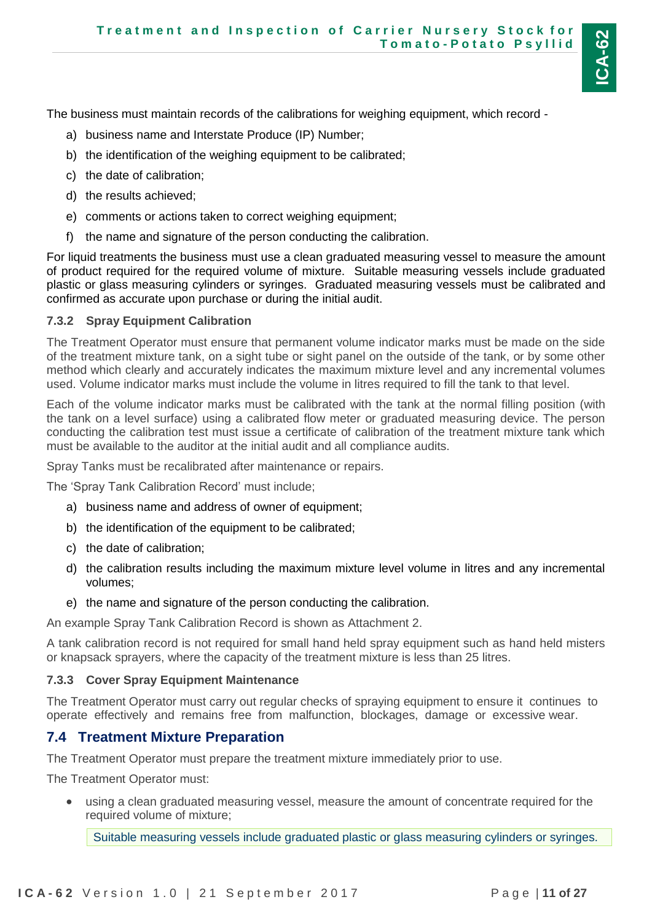**ICA-62**

The business must maintain records of the calibrations for weighing equipment, which record -

- a) business name and Interstate Produce (IP) Number;
- b) the identification of the weighing equipment to be calibrated;
- c) the date of calibration;
- d) the results achieved;
- e) comments or actions taken to correct weighing equipment;
- f) the name and signature of the person conducting the calibration.

For liquid treatments the business must use a clean graduated measuring vessel to measure the amount of product required for the required volume of mixture. Suitable measuring vessels include graduated plastic or glass measuring cylinders or syringes. Graduated measuring vessels must be calibrated and confirmed as accurate upon purchase or during the initial audit.

#### <span id="page-10-0"></span>**7.3.2 Spray Equipment Calibration**

The Treatment Operator must ensure that permanent volume indicator marks must be made on the side of the treatment mixture tank, on a sight tube or sight panel on the outside of the tank, or by some other method which clearly and accurately indicates the maximum mixture level and any incremental volumes used. Volume indicator marks must include the volume in litres required to fill the tank to that level.

Each of the volume indicator marks must be calibrated with the tank at the normal filling position (with the tank on a level surface) using a calibrated flow meter or graduated measuring device. The person conducting the calibration test must issue a certificate of calibration of the treatment mixture tank which must be available to the auditor at the initial audit and all compliance audits.

Spray Tanks must be recalibrated after maintenance or repairs.

The 'Spray Tank Calibration Record' must include;

- a) business name and address of owner of equipment;
- b) the identification of the equipment to be calibrated;
- c) the date of calibration;
- d) the calibration results including the maximum mixture level volume in litres and any incremental volumes;
- e) the name and signature of the person conducting the calibration.

An example Spray Tank Calibration Record is shown as Attachment 2.

A tank calibration record is not required for small hand held spray equipment such as hand held misters or knapsack sprayers, where the capacity of the treatment mixture is less than 25 litres.

#### <span id="page-10-1"></span>**7.3.3 Cover Spray Equipment Maintenance**

The Treatment Operator must carry out regular checks of spraying equipment to ensure it continues to operate effectively and remains free from malfunction, blockages, damage or excessive wear.

### <span id="page-10-2"></span>**7.4 Treatment Mixture Preparation**

The Treatment Operator must prepare the treatment mixture immediately prior to use.

The Treatment Operator must:

 using a clean graduated measuring vessel, measure the amount of concentrate required for the required volume of mixture;

Suitable measuring vessels include graduated plastic or glass measuring cylinders or syringes.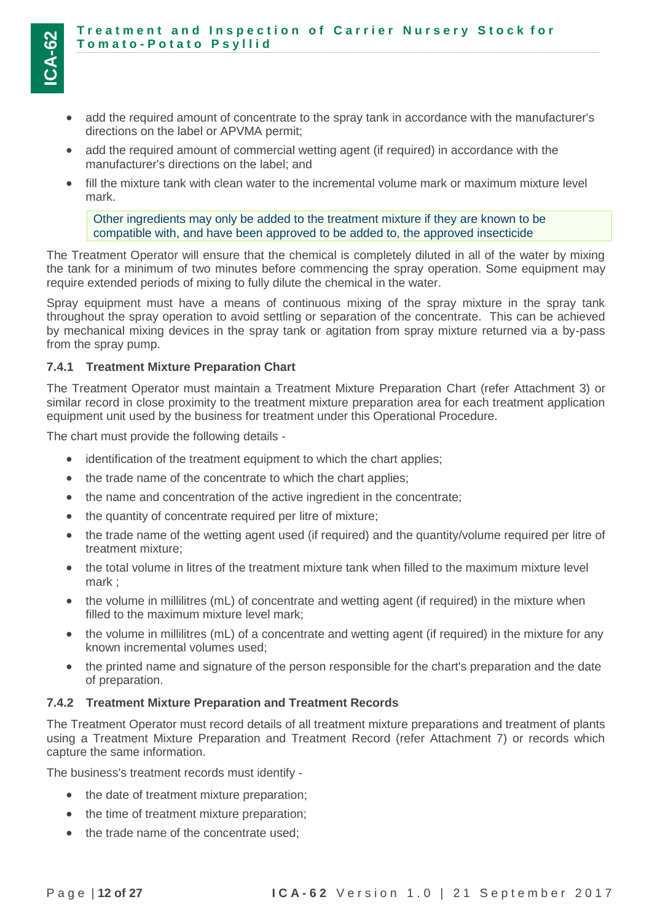- add the required amount of concentrate to the spray tank in accordance with the manufacturer's directions on the label or APVMA permit;
- add the required amount of commercial wetting agent (if required) in accordance with the manufacturer's directions on the label; and
- fill the mixture tank with clean water to the incremental volume mark or maximum mixture level mark.

Other ingredients may only be added to the treatment mixture if they are known to be compatible with, and have been approved to be added to, the approved insecticide

The Treatment Operator will ensure that the chemical is completely diluted in all of the water by mixing the tank for a minimum of two minutes before commencing the spray operation. Some equipment may require extended periods of mixing to fully dilute the chemical in the water.

Spray equipment must have a means of continuous mixing of the spray mixture in the spray tank throughout the spray operation to avoid settling or separation of the concentrate. This can be achieved by mechanical mixing devices in the spray tank or agitation from spray mixture returned via a by-pass from the spray pump.

#### <span id="page-11-0"></span>**7.4.1 Treatment Mixture Preparation Chart**

The Treatment Operator must maintain a Treatment Mixture Preparation Chart (refer Attachment 3) or similar record in close proximity to the treatment mixture preparation area for each treatment application equipment unit used by the business for treatment under this Operational Procedure.

The chart must provide the following details -

- identification of the treatment equipment to which the chart applies;
- the trade name of the concentrate to which the chart applies;
- the name and concentration of the active ingredient in the concentrate;
- the quantity of concentrate required per litre of mixture;
- the trade name of the wetting agent used (if required) and the quantity/volume required per litre of treatment mixture;
- the total volume in litres of the treatment mixture tank when filled to the maximum mixture level mark ;
- the volume in millilitres (mL) of concentrate and wetting agent (if required) in the mixture when filled to the maximum mixture level mark;
- the volume in millilitres (mL) of a concentrate and wetting agent (if required) in the mixture for any known incremental volumes used;
- the printed name and signature of the person responsible for the chart's preparation and the date of preparation.

#### <span id="page-11-1"></span>**7.4.2 Treatment Mixture Preparation and Treatment Records**

The Treatment Operator must record details of all treatment mixture preparations and treatment of plants using a Treatment Mixture Preparation and Treatment Record (refer Attachment 7) or records which capture the same information.

The business's treatment records must identify -

- the date of treatment mixture preparation;
- the time of treatment mixture preparation;
- the trade name of the concentrate used: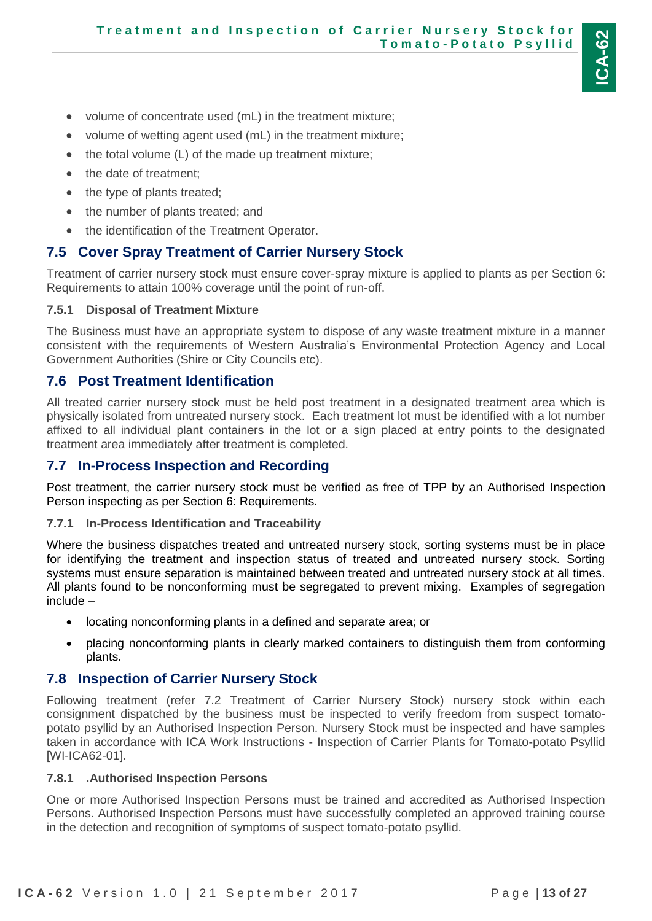- volume of concentrate used (mL) in the treatment mixture;
- volume of wetting agent used (mL) in the treatment mixture;
- $\bullet$  the total volume (L) of the made up treatment mixture;
- the date of treatment;
- the type of plants treated;
- the number of plants treated; and
- the identification of the Treatment Operator.

### <span id="page-12-0"></span>**7.5 Cover Spray Treatment of Carrier Nursery Stock**

Treatment of carrier nursery stock must ensure cover-spray mixture is applied to plants as per Section 6: Requirements to attain 100% coverage until the point of run-off.

#### <span id="page-12-1"></span>**7.5.1 Disposal of Treatment Mixture**

The Business must have an appropriate system to dispose of any waste treatment mixture in a manner consistent with the requirements of Western Australia's Environmental Protection Agency and Local Government Authorities (Shire or City Councils etc).

#### <span id="page-12-2"></span>**7.6 Post Treatment Identification**

All treated carrier nursery stock must be held post treatment in a designated treatment area which is physically isolated from untreated nursery stock. Each treatment lot must be identified with a lot number affixed to all individual plant containers in the lot or a sign placed at entry points to the designated treatment area immediately after treatment is completed.

### <span id="page-12-3"></span>**7.7 In-Process Inspection and Recording**

Post treatment, the carrier nursery stock must be verified as free of TPP by an Authorised Inspection Person inspecting as per Section 6: Requirements.

#### <span id="page-12-4"></span>**7.7.1 In-Process Identification and Traceability**

Where the business dispatches treated and untreated nursery stock, sorting systems must be in place for identifying the treatment and inspection status of treated and untreated nursery stock. Sorting systems must ensure separation is maintained between treated and untreated nursery stock at all times. All plants found to be nonconforming must be segregated to prevent mixing. Examples of segregation include –

- locating nonconforming plants in a defined and separate area; or
- placing nonconforming plants in clearly marked containers to distinguish them from conforming plants.

### <span id="page-12-5"></span>**7.8 Inspection of Carrier Nursery Stock**

Following treatment (refer 7.2 Treatment of Carrier Nursery Stock) nursery stock within each consignment dispatched by the business must be inspected to verify freedom from suspect tomatopotato psyllid by an Authorised Inspection Person. Nursery Stock must be inspected and have samples taken in accordance with ICA Work Instructions - Inspection of Carrier Plants for Tomato-potato Psyllid [WI-ICA62-01].

#### <span id="page-12-6"></span>**7.8.1 .Authorised Inspection Persons**

One or more Authorised Inspection Persons must be trained and accredited as Authorised Inspection Persons. Authorised Inspection Persons must have successfully completed an approved training course in the detection and recognition of symptoms of suspect tomato-potato psyllid.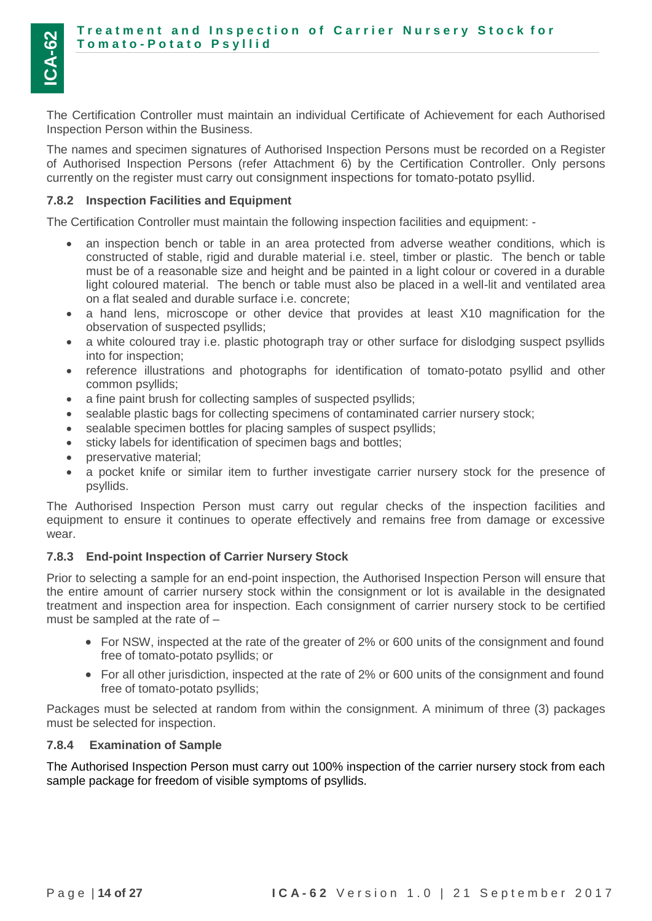The Certification Controller must maintain an individual Certificate of Achievement for each Authorised Inspection Person within the Business.

The names and specimen signatures of Authorised Inspection Persons must be recorded on a Register of Authorised Inspection Persons (refer Attachment 6) by the Certification Controller. Only persons currently on the register must carry out consignment inspections for tomato-potato psyllid.

#### <span id="page-13-0"></span>**7.8.2 Inspection Facilities and Equipment**

The Certification Controller must maintain the following inspection facilities and equipment: -

- an inspection bench or table in an area protected from adverse weather conditions, which is constructed of stable, rigid and durable material i.e. steel, timber or plastic. The bench or table must be of a reasonable size and height and be painted in a light colour or covered in a durable light coloured material. The bench or table must also be placed in a well-lit and ventilated area on a flat sealed and durable surface i.e. concrete;
- a hand lens, microscope or other device that provides at least X10 magnification for the observation of suspected psyllids;
- a white coloured tray i.e. plastic photograph tray or other surface for dislodging suspect psyllids into for inspection;
- reference illustrations and photographs for identification of tomato-potato psyllid and other common psyllids;
- a fine paint brush for collecting samples of suspected psyllids;
- sealable plastic bags for collecting specimens of contaminated carrier nursery stock;
- sealable specimen bottles for placing samples of suspect psyllids;
- sticky labels for identification of specimen bags and bottles;
- preservative material;
- a pocket knife or similar item to further investigate carrier nursery stock for the presence of psyllids.

The Authorised Inspection Person must carry out regular checks of the inspection facilities and equipment to ensure it continues to operate effectively and remains free from damage or excessive wear.

#### <span id="page-13-1"></span>**7.8.3 End-point Inspection of Carrier Nursery Stock**

Prior to selecting a sample for an end-point inspection, the Authorised Inspection Person will ensure that the entire amount of carrier nursery stock within the consignment or lot is available in the designated treatment and inspection area for inspection. Each consignment of carrier nursery stock to be certified must be sampled at the rate of –

- For NSW, inspected at the rate of the greater of 2% or 600 units of the consignment and found free of tomato-potato psyllids; or
- For all other jurisdiction, inspected at the rate of 2% or 600 units of the consignment and found free of tomato-potato psyllids;

Packages must be selected at random from within the consignment. A minimum of three (3) packages must be selected for inspection.

#### <span id="page-13-2"></span>**7.8.4 Examination of Sample**

The Authorised Inspection Person must carry out 100% inspection of the carrier nursery stock from each sample package for freedom of visible symptoms of psyllids.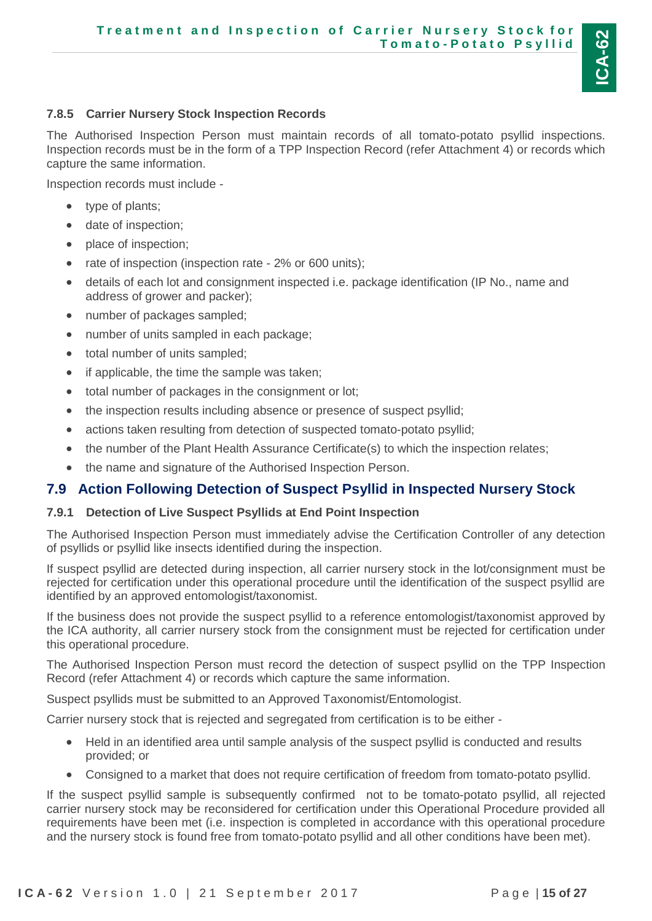#### <span id="page-14-0"></span>**7.8.5 Carrier Nursery Stock Inspection Records**

The Authorised Inspection Person must maintain records of all tomato-potato psyllid inspections. Inspection records must be in the form of a TPP Inspection Record (refer Attachment 4) or records which capture the same information.

Inspection records must include -

- type of plants;
- date of inspection;
- place of inspection;
- rate of inspection (inspection rate 2% or 600 units);
- details of each lot and consignment inspected i.e. package identification (IP No., name and address of grower and packer);
- number of packages sampled;
- number of units sampled in each package;
- total number of units sampled;
- if applicable, the time the sample was taken;
- total number of packages in the consignment or lot;
- the inspection results including absence or presence of suspect psyllid;
- actions taken resulting from detection of suspected tomato-potato psyllid;
- the number of the Plant Health Assurance Certificate(s) to which the inspection relates;
- the name and signature of the Authorised Inspection Person.

### <span id="page-14-1"></span>**7.9 Action Following Detection of Suspect Psyllid in Inspected Nursery Stock**

#### <span id="page-14-2"></span>**7.9.1 Detection of Live Suspect Psyllids at End Point Inspection**

The Authorised Inspection Person must immediately advise the Certification Controller of any detection of psyllids or psyllid like insects identified during the inspection.

If suspect psyllid are detected during inspection, all carrier nursery stock in the lot/consignment must be rejected for certification under this operational procedure until the identification of the suspect psyllid are identified by an approved entomologist/taxonomist.

If the business does not provide the suspect psyllid to a reference entomologist/taxonomist approved by the ICA authority, all carrier nursery stock from the consignment must be rejected for certification under this operational procedure.

The Authorised Inspection Person must record the detection of suspect psyllid on the TPP Inspection Record (refer Attachment 4) or records which capture the same information.

Suspect psyllids must be submitted to an Approved Taxonomist/Entomologist.

Carrier nursery stock that is rejected and segregated from certification is to be either -

- Held in an identified area until sample analysis of the suspect psyllid is conducted and results provided; or
- Consigned to a market that does not require certification of freedom from tomato-potato psyllid.

If the suspect psyllid sample is subsequently confirmed not to be tomato-potato psyllid, all rejected carrier nursery stock may be reconsidered for certification under this Operational Procedure provided all requirements have been met (i.e. inspection is completed in accordance with this operational procedure and the nursery stock is found free from tomato-potato psyllid and all other conditions have been met).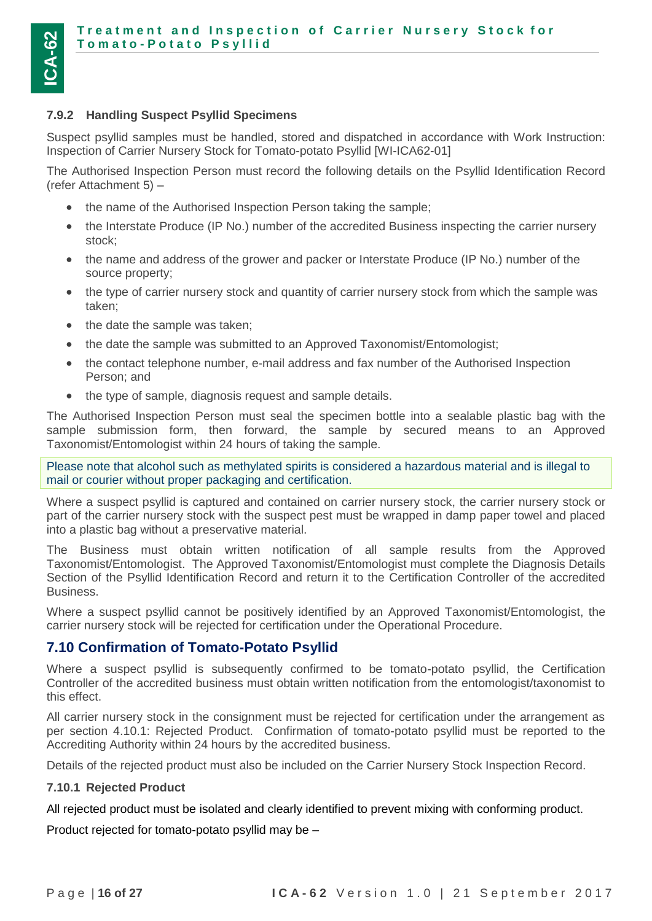#### <span id="page-15-0"></span>**7.9.2 Handling Suspect Psyllid Specimens**

Suspect psyllid samples must be handled, stored and dispatched in accordance with Work Instruction: Inspection of Carrier Nursery Stock for Tomato-potato Psyllid [WI-ICA62-01]

The Authorised Inspection Person must record the following details on the Psyllid Identification Record (refer Attachment 5) –

- the name of the Authorised Inspection Person taking the sample;
- the Interstate Produce (IP No.) number of the accredited Business inspecting the carrier nursery stock;
- the name and address of the grower and packer or Interstate Produce (IP No.) number of the source property;
- the type of carrier nursery stock and quantity of carrier nursery stock from which the sample was taken;
- the date the sample was taken;
- the date the sample was submitted to an Approved Taxonomist/Entomologist;
- the contact telephone number, e-mail address and fax number of the Authorised Inspection Person; and
- the type of sample, diagnosis request and sample details.

The Authorised Inspection Person must seal the specimen bottle into a sealable plastic bag with the sample submission form, then forward, the sample by secured means to an Approved Taxonomist/Entomologist within 24 hours of taking the sample.

Please note that alcohol such as methylated spirits is considered a hazardous material and is illegal to mail or courier without proper packaging and certification.

Where a suspect psyllid is captured and contained on carrier nursery stock, the carrier nursery stock or part of the carrier nursery stock with the suspect pest must be wrapped in damp paper towel and placed into a plastic bag without a preservative material.

The Business must obtain written notification of all sample results from the Approved Taxonomist/Entomologist. The Approved Taxonomist/Entomologist must complete the Diagnosis Details Section of the Psyllid Identification Record and return it to the Certification Controller of the accredited Business.

Where a suspect psyllid cannot be positively identified by an Approved Taxonomist/Entomologist, the carrier nursery stock will be rejected for certification under the Operational Procedure.

#### <span id="page-15-1"></span>**7.10 Confirmation of Tomato-Potato Psyllid**

Where a suspect psyllid is subsequently confirmed to be tomato-potato psyllid, the Certification Controller of the accredited business must obtain written notification from the entomologist/taxonomist to this effect.

All carrier nursery stock in the consignment must be rejected for certification under the arrangement as per section 4.10.1: Rejected Product. Confirmation of tomato-potato psyllid must be reported to the Accrediting Authority within 24 hours by the accredited business.

Details of the rejected product must also be included on the Carrier Nursery Stock Inspection Record.

#### <span id="page-15-2"></span>**7.10.1 Rejected Product**

All rejected product must be isolated and clearly identified to prevent mixing with conforming product.

Product rejected for tomato-potato psyllid may be –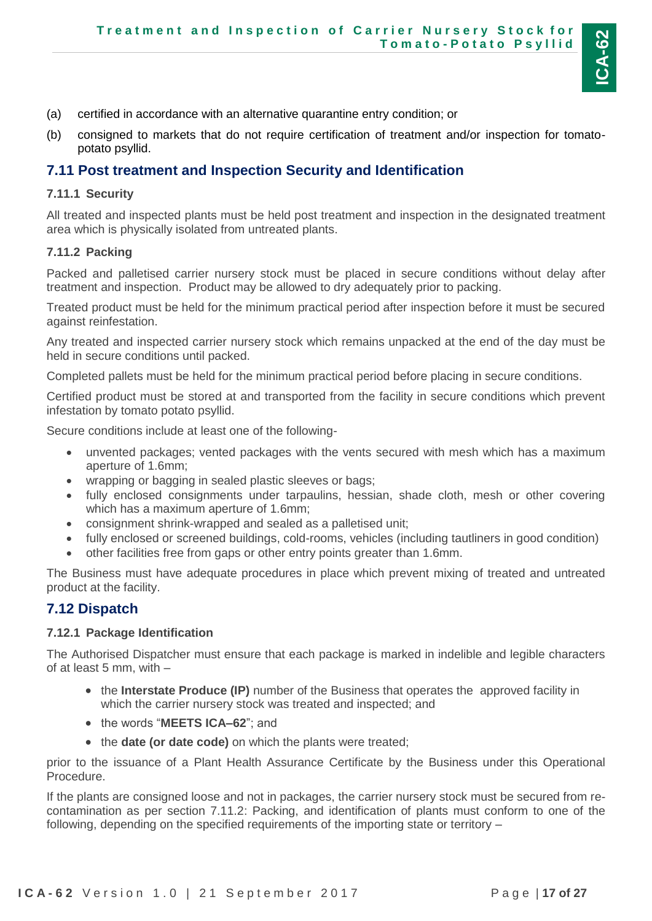

- (a) certified in accordance with an alternative quarantine entry condition; or
- (b) consigned to markets that do not require certification of treatment and/or inspection for tomatopotato psyllid.

#### <span id="page-16-0"></span>**7.11 Post treatment and Inspection Security and Identification**

#### <span id="page-16-1"></span>**7.11.1 Security**

All treated and inspected plants must be held post treatment and inspection in the designated treatment area which is physically isolated from untreated plants.

#### <span id="page-16-2"></span>**7.11.2 Packing**

Packed and palletised carrier nursery stock must be placed in secure conditions without delay after treatment and inspection. Product may be allowed to dry adequately prior to packing.

Treated product must be held for the minimum practical period after inspection before it must be secured against reinfestation.

Any treated and inspected carrier nursery stock which remains unpacked at the end of the day must be held in secure conditions until packed.

Completed pallets must be held for the minimum practical period before placing in secure conditions.

Certified product must be stored at and transported from the facility in secure conditions which prevent infestation by tomato potato psyllid.

Secure conditions include at least one of the following-

- unvented packages; vented packages with the vents secured with mesh which has a maximum aperture of 1.6mm;
- wrapping or bagging in sealed plastic sleeves or bags;
- fully enclosed consignments under tarpaulins, hessian, shade cloth, mesh or other covering which has a maximum aperture of 1.6mm;
- consignment shrink-wrapped and sealed as a palletised unit;
- fully enclosed or screened buildings, cold-rooms, vehicles (including tautliners in good condition)
- other facilities free from gaps or other entry points greater than 1.6mm.

The Business must have adequate procedures in place which prevent mixing of treated and untreated product at the facility.

#### <span id="page-16-3"></span>**7.12 Dispatch**

#### <span id="page-16-4"></span>**7.12.1 Package Identification**

The Authorised Dispatcher must ensure that each package is marked in indelible and legible characters of at least 5 mm, with –

- the **Interstate Produce (IP)** number of the Business that operates the approved facility in which the carrier nursery stock was treated and inspected; and
- the words "MEETS ICA-62"; and
- the **date (or date code)** on which the plants were treated;

prior to the issuance of a Plant Health Assurance Certificate by the Business under this Operational Procedure.

If the plants are consigned loose and not in packages, the carrier nursery stock must be secured from recontamination as per section 7.11.2: Packing, and identification of plants must conform to one of the following, depending on the specified requirements of the importing state or territory –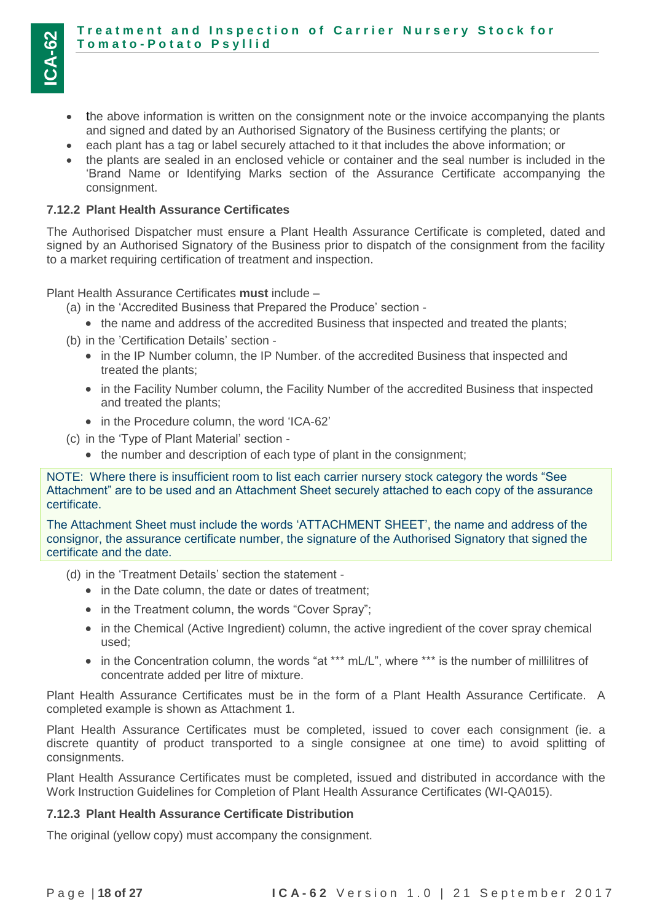- the above information is written on the consignment note or the invoice accompanying the plants and signed and dated by an Authorised Signatory of the Business certifying the plants; or
- each plant has a tag or label securely attached to it that includes the above information; or
- the plants are sealed in an enclosed vehicle or container and the seal number is included in the 'Brand Name or Identifying Marks section of the Assurance Certificate accompanying the consignment.

#### <span id="page-17-0"></span>**7.12.2 Plant Health Assurance Certificates**

The Authorised Dispatcher must ensure a Plant Health Assurance Certificate is completed, dated and signed by an Authorised Signatory of the Business prior to dispatch of the consignment from the facility to a market requiring certification of treatment and inspection.

Plant Health Assurance Certificates **must** include –

- (a) in the 'Accredited Business that Prepared the Produce' section
	- the name and address of the accredited Business that inspected and treated the plants;
- (b) in the 'Certification Details' section
	- in the IP Number column, the IP Number. of the accredited Business that inspected and treated the plants;
	- in the Facility Number column, the Facility Number of the accredited Business that inspected and treated the plants;
	- in the Procedure column, the word 'ICA-62'
- (c) in the 'Type of Plant Material' section
	- the number and description of each type of plant in the consignment;

NOTE: Where there is insufficient room to list each carrier nursery stock category the words "See Attachment" are to be used and an Attachment Sheet securely attached to each copy of the assurance certificate.

The Attachment Sheet must include the words 'ATTACHMENT SHEET', the name and address of the consignor, the assurance certificate number, the signature of the Authorised Signatory that signed the certificate and the date.

- (d) in the 'Treatment Details' section the statement
	- in the Date column, the date or dates of treatment;
	- in the Treatment column, the words "Cover Spray";
	- in the Chemical (Active Ingredient) column, the active ingredient of the cover spray chemical used;
	- in the Concentration column, the words "at \*\*\* mL/L", where \*\*\* is the number of millilitres of concentrate added per litre of mixture.

Plant Health Assurance Certificates must be in the form of a Plant Health Assurance Certificate. A completed example is shown as Attachment 1.

Plant Health Assurance Certificates must be completed, issued to cover each consignment (ie. a discrete quantity of product transported to a single consignee at one time) to avoid splitting of consignments.

Plant Health Assurance Certificates must be completed, issued and distributed in accordance with the Work Instruction Guidelines for Completion of Plant Health Assurance Certificates (WI-QA015).

#### <span id="page-17-1"></span>**7.12.3 Plant Health Assurance Certificate Distribution**

The original (yellow copy) must accompany the consignment.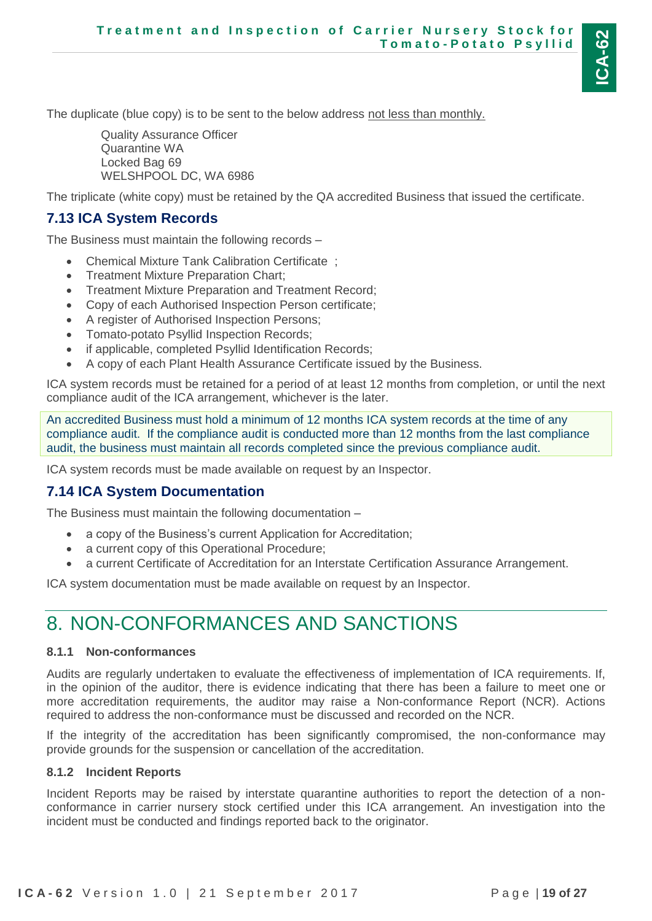

The duplicate (blue copy) is to be sent to the below address not less than monthly.

Quality Assurance Officer Quarantine WA Locked Bag 69 WELSHPOOL DC, WA 6986

The triplicate (white copy) must be retained by the QA accredited Business that issued the certificate.

#### <span id="page-18-0"></span>**7.13 ICA System Records**

The Business must maintain the following records –

- Chemical Mixture Tank Calibration Certificate ;
- Treatment Mixture Preparation Chart;
- Treatment Mixture Preparation and Treatment Record:
- Copy of each Authorised Inspection Person certificate;
- A register of Authorised Inspection Persons;
- Tomato-potato Psyllid Inspection Records;
- if applicable, completed Psyllid Identification Records;
- A copy of each Plant Health Assurance Certificate issued by the Business.

ICA system records must be retained for a period of at least 12 months from completion, or until the next compliance audit of the ICA arrangement, whichever is the later.

An accredited Business must hold a minimum of 12 months ICA system records at the time of any compliance audit. If the compliance audit is conducted more than 12 months from the last compliance audit, the business must maintain all records completed since the previous compliance audit.

ICA system records must be made available on request by an Inspector.

#### <span id="page-18-1"></span>**7.14 ICA System Documentation**

The Business must maintain the following documentation –

- a copy of the Business's current Application for Accreditation;
- a current copy of this Operational Procedure;
- a current Certificate of Accreditation for an Interstate Certification Assurance Arrangement.

ICA system documentation must be made available on request by an Inspector.

### <span id="page-18-2"></span>8. NON-CONFORMANCES AND SANCTIONS

#### <span id="page-18-3"></span>**8.1.1 Non-conformances**

Audits are regularly undertaken to evaluate the effectiveness of implementation of ICA requirements. If, in the opinion of the auditor, there is evidence indicating that there has been a failure to meet one or more accreditation requirements, the auditor may raise a Non-conformance Report (NCR). Actions required to address the non-conformance must be discussed and recorded on the NCR.

If the integrity of the accreditation has been significantly compromised, the non-conformance may provide grounds for the suspension or cancellation of the accreditation.

#### <span id="page-18-4"></span>**8.1.2 Incident Reports**

Incident Reports may be raised by interstate quarantine authorities to report the detection of a nonconformance in carrier nursery stock certified under this ICA arrangement. An investigation into the incident must be conducted and findings reported back to the originator.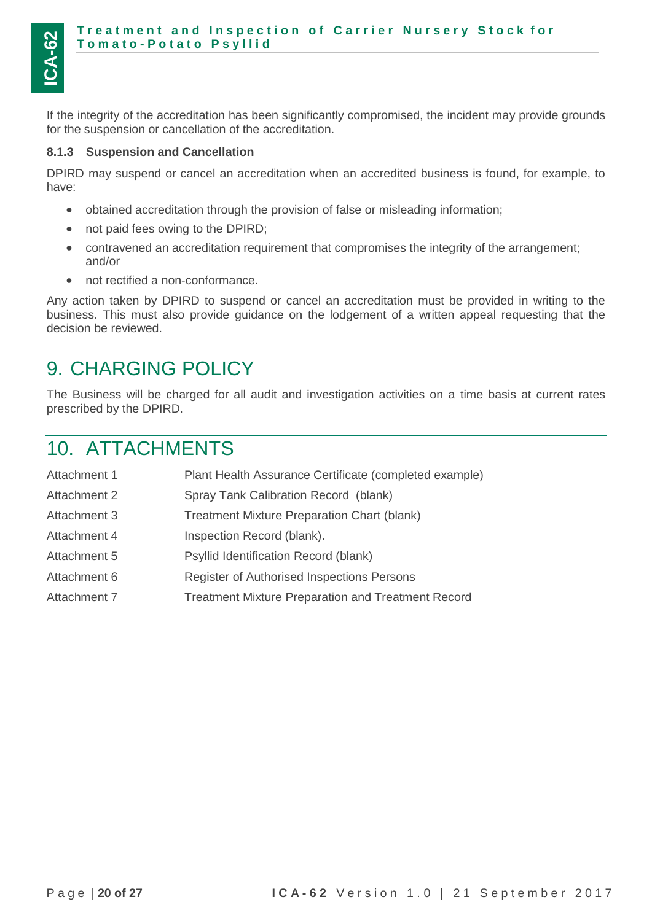If the integrity of the accreditation has been significantly compromised, the incident may provide grounds for the suspension or cancellation of the accreditation.

#### <span id="page-19-0"></span>**8.1.3 Suspension and Cancellation**

DPIRD may suspend or cancel an accreditation when an accredited business is found, for example, to have:

- obtained accreditation through the provision of false or misleading information;
- not paid fees owing to the DPIRD;
- contravened an accreditation requirement that compromises the integrity of the arrangement; and/or
- not rectified a non-conformance.

Any action taken by DPIRD to suspend or cancel an accreditation must be provided in writing to the business. This must also provide guidance on the lodgement of a written appeal requesting that the decision be reviewed.

### <span id="page-19-1"></span>9. CHARGING POLICY

The Business will be charged for all audit and investigation activities on a time basis at current rates prescribed by the DPIRD.

### <span id="page-19-2"></span>10. ATTACHMENTS

| Attachment 1 | Plant Health Assurance Certificate (completed example)    |
|--------------|-----------------------------------------------------------|
| Attachment 2 | Spray Tank Calibration Record (blank)                     |
| Attachment 3 | <b>Treatment Mixture Preparation Chart (blank)</b>        |
| Attachment 4 | Inspection Record (blank).                                |
| Attachment 5 | Psyllid Identification Record (blank)                     |
| Attachment 6 | Register of Authorised Inspections Persons                |
| Attachment 7 | <b>Treatment Mixture Preparation and Treatment Record</b> |
|              |                                                           |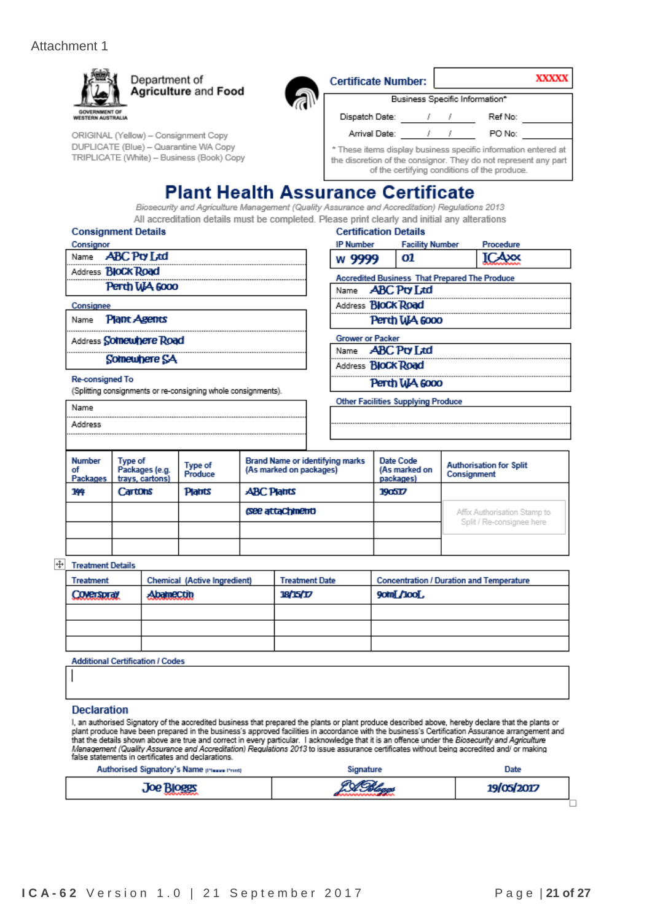Í,





| )RIGINAL (Yellow) – Consignment Copy      |
|-------------------------------------------|
| )UPLICATE (Blue) – Quarantine WA Copy     |
| TRIPLICATE (White) – Business (Book) Copy |

| Certificate Number:                                                                                                                                                               |  |  | XXXXX   |  |
|-----------------------------------------------------------------------------------------------------------------------------------------------------------------------------------|--|--|---------|--|
| Business Specific Information*                                                                                                                                                    |  |  |         |  |
| Dispatch Date:                                                                                                                                                                    |  |  | Ref No: |  |
| Arrival Date:                                                                                                                                                                     |  |  | PO No:  |  |
| * These items display business specific information entered at<br>the discretion of the consignor. They do not represent any part<br>of the certifying conditions of the produce. |  |  |         |  |

### **Plant Health Assurance Certificate**

Biosecurity and Agriculture Management (Quality Assurance and Accreditation) Regulations 2013 All accreditation details must be completed. Please print clearly and initial any alterations

#### **Consignment Details** Consignor

| <b>CONSIGNO</b> |                           |
|-----------------|---------------------------|
|                 | Name <b>ABC</b> Pry Ltd   |
|                 | Address <b>BIOCK Road</b> |
|                 | Perth WA 6000             |
|                 |                           |

#### Consignee Name **Plant Agents**

Address Somewhere Road

Somewhere SA

#### **Re-consigned To**

Name Address

(Splitting consignments or re-consigning whole consignments).

### **Certification Details**

| <b>IP Number</b> | <b>Facility Number</b> | Procedure |
|------------------|------------------------|-----------|
| w 9999           | 01                     | $-4x$     |
|                  |                        |           |

#### **Accredited Business That Prepared The Produce** Name **ABC Pty Ltd** Address **BloCk Road**

Perth WA 6000

**Grower or Packer** 

**ABC Pty Ltd** Name

Address **BloCk Road** 

Perth WA 6000

**Other Facilities Supplying Produce** 

#### **Brand Name or identifying marks** Number Date Code Type of **Authorisation for Split** Type of (As marked on packages) (As marked on of Packages (e.g. Produce Consignment Packages trays, cartons) packages) 144 Cartons **Platrts ABC Plants** 190517 (See attachment) Affix Authorisation Stamp to Split / Re-consignee here

#### + Treatment Details

| <b>Treatment</b>   | Chemical (Active Ingredient) | <b>Treatment Date</b> | <b>Concentration / Duration and Temperature</b> |
|--------------------|------------------------------|-----------------------|-------------------------------------------------|
| <b>CONGISTICAL</b> | AbameCtin                    | 18/15/17              | <b>90tn[/100[,</b>                              |
|                    |                              |                       |                                                 |
|                    |                              |                       |                                                 |
|                    |                              |                       |                                                 |

**Additional Certification / Codes** 

#### **Declaration**

I, an authorised Signatory of the accredited business that prepared the plants or plant produce described above, hereby declare that the plants or<br>plant produce have been prepared in the business's approved facilities in a false statements in certificates and declarations.

| Authorised Signatory's Name pressented | Signature | Date       |  |
|----------------------------------------|-----------|------------|--|
| <b>Joe Bloggs</b>                      |           | 19/05/2017 |  |
|                                        |           |            |  |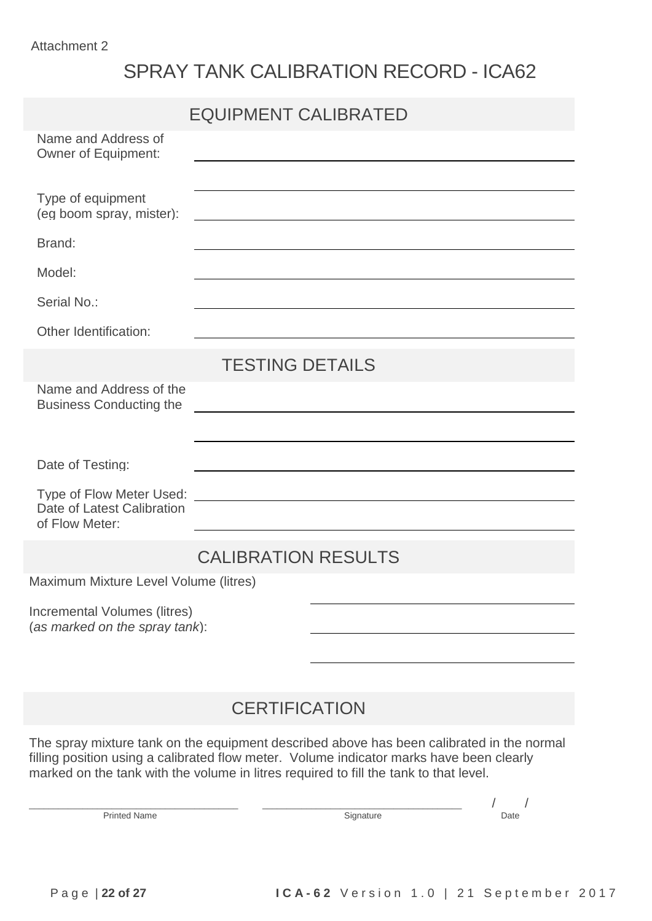# SPRAY TANK CALIBRATION RECORD - ICA62

|                                                                                                                                                                                                                                                                                | <b>EQUIPMENT CALIBRATED</b> |  |  |  |  |  |  |
|--------------------------------------------------------------------------------------------------------------------------------------------------------------------------------------------------------------------------------------------------------------------------------|-----------------------------|--|--|--|--|--|--|
| Name and Address of<br><b>Owner of Equipment:</b>                                                                                                                                                                                                                              |                             |  |  |  |  |  |  |
|                                                                                                                                                                                                                                                                                |                             |  |  |  |  |  |  |
| Type of equipment<br>(eg boom spray, mister):                                                                                                                                                                                                                                  |                             |  |  |  |  |  |  |
| Brand:                                                                                                                                                                                                                                                                         |                             |  |  |  |  |  |  |
| Model:                                                                                                                                                                                                                                                                         |                             |  |  |  |  |  |  |
| Serial No.:                                                                                                                                                                                                                                                                    |                             |  |  |  |  |  |  |
| Other Identification:                                                                                                                                                                                                                                                          |                             |  |  |  |  |  |  |
|                                                                                                                                                                                                                                                                                | <b>TESTING DETAILS</b>      |  |  |  |  |  |  |
| Name and Address of the<br><b>Business Conducting the</b>                                                                                                                                                                                                                      |                             |  |  |  |  |  |  |
|                                                                                                                                                                                                                                                                                |                             |  |  |  |  |  |  |
| Date of Testing:                                                                                                                                                                                                                                                               |                             |  |  |  |  |  |  |
|                                                                                                                                                                                                                                                                                |                             |  |  |  |  |  |  |
| Date of Latest Calibration<br>of Flow Meter:                                                                                                                                                                                                                                   |                             |  |  |  |  |  |  |
|                                                                                                                                                                                                                                                                                | <b>CALIBRATION RESULTS</b>  |  |  |  |  |  |  |
| Maximum Mixture Level Volume (litres)                                                                                                                                                                                                                                          |                             |  |  |  |  |  |  |
| Incremental Volumes (litres)<br>(as marked on the spray tank):                                                                                                                                                                                                                 |                             |  |  |  |  |  |  |
|                                                                                                                                                                                                                                                                                |                             |  |  |  |  |  |  |
|                                                                                                                                                                                                                                                                                |                             |  |  |  |  |  |  |
| <b>CERTIFICATION</b>                                                                                                                                                                                                                                                           |                             |  |  |  |  |  |  |
| The spray mixture tank on the equipment described above has been calibrated in the normal<br>filling position using a calibrated flow meter. Volume indicator marks have been clearly<br>marked on the tank with the volume in litres required to fill the tank to that level. |                             |  |  |  |  |  |  |

Printed Name  $\begin{array}{c|c} & / & / \\ \hline \end{array}$  Date

\_\_\_\_\_\_\_\_\_\_\_\_\_\_\_\_\_\_\_\_\_\_\_\_\_\_\_\_\_\_\_\_\_\_\_\_\_\_\_\_\_\_\_ \_\_\_\_\_\_\_\_\_\_\_\_\_\_\_\_\_\_\_\_\_\_\_\_\_\_\_\_\_\_\_\_\_\_\_\_\_\_\_\_\_ / /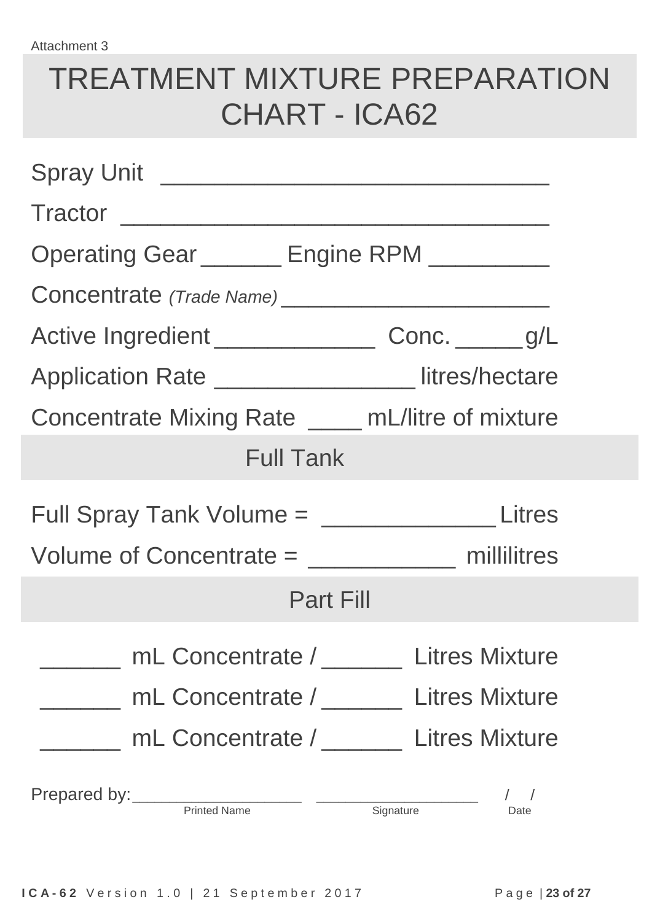# TREATMENT MIXTURE PREPARATION CHART - ICA62

| Tractor                                                    |      |  |  |  |  |  |  |  |
|------------------------------------------------------------|------|--|--|--|--|--|--|--|
| Operating Gear ______ Engine RPM ________                  |      |  |  |  |  |  |  |  |
|                                                            |      |  |  |  |  |  |  |  |
| Active Ingredient ______________________ Conc. _______ g/L |      |  |  |  |  |  |  |  |
| Application Rate ________________ litres/hectare           |      |  |  |  |  |  |  |  |
| Concentrate Mixing Rate _____ mL/litre of mixture          |      |  |  |  |  |  |  |  |
| <b>Full Tank</b>                                           |      |  |  |  |  |  |  |  |
| Full Spray Tank Volume = ____________________Litres        |      |  |  |  |  |  |  |  |
| Volume of Concentrate = ________________ millilitres       |      |  |  |  |  |  |  |  |
| <b>Part Fill</b>                                           |      |  |  |  |  |  |  |  |
| mL Concentrate / Litres Mixture                            |      |  |  |  |  |  |  |  |
| mL Concentrate / Litres Mixture                            |      |  |  |  |  |  |  |  |
| mL Concentrate / ________ Litres Mixture                   |      |  |  |  |  |  |  |  |
| Prepared by: Printed Name Signature                        | Date |  |  |  |  |  |  |  |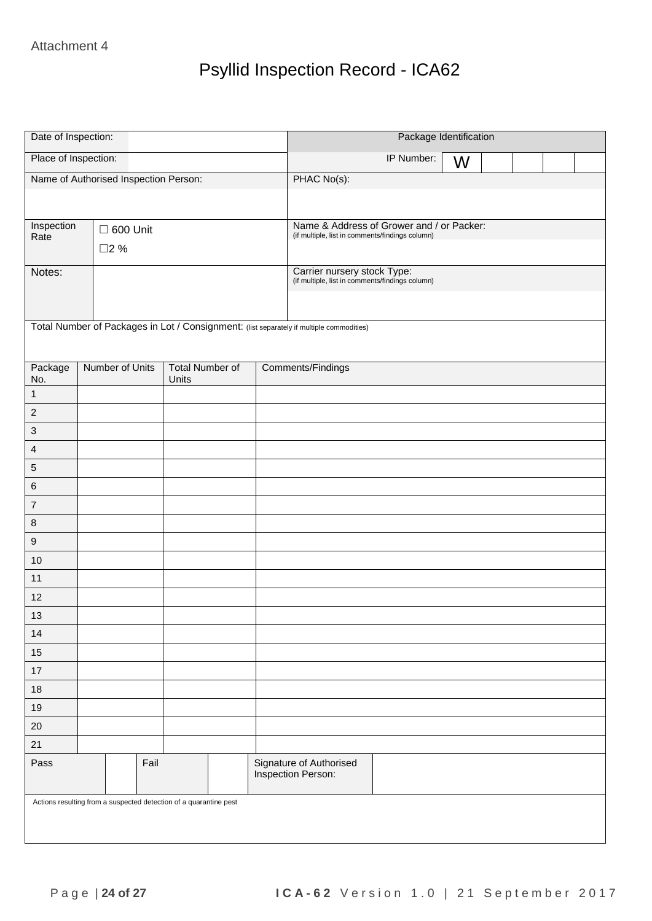# Psyllid Inspection Record - ICA62

| Date of Inspection:       |                                                                   |                                 | Package Identification                                                                   |  |  |  |  |  |
|---------------------------|-------------------------------------------------------------------|---------------------------------|------------------------------------------------------------------------------------------|--|--|--|--|--|
| Place of Inspection:      |                                                                   |                                 | IP Number:<br>W                                                                          |  |  |  |  |  |
|                           | Name of Authorised Inspection Person:                             |                                 | PHAC No(s):                                                                              |  |  |  |  |  |
|                           |                                                                   |                                 |                                                                                          |  |  |  |  |  |
| Inspection                |                                                                   |                                 | Name & Address of Grower and / or Packer:                                                |  |  |  |  |  |
| Rate                      | $\square$ 600 Unit                                                |                                 | (if multiple, list in comments/findings column)                                          |  |  |  |  |  |
|                           | □2 %                                                              |                                 |                                                                                          |  |  |  |  |  |
| Notes:                    |                                                                   |                                 | Carrier nursery stock Type:<br>(if multiple, list in comments/findings column)           |  |  |  |  |  |
|                           |                                                                   |                                 |                                                                                          |  |  |  |  |  |
|                           |                                                                   |                                 |                                                                                          |  |  |  |  |  |
|                           |                                                                   |                                 | Total Number of Packages in Lot / Consignment: (list separately if multiple commodities) |  |  |  |  |  |
|                           |                                                                   |                                 |                                                                                          |  |  |  |  |  |
| Package<br>No.            | Number of Units                                                   | <b>Total Number of</b><br>Units | Comments/Findings                                                                        |  |  |  |  |  |
| $\mathbf{1}$              |                                                                   |                                 |                                                                                          |  |  |  |  |  |
| $\sqrt{2}$                |                                                                   |                                 |                                                                                          |  |  |  |  |  |
| $\ensuremath{\mathsf{3}}$ |                                                                   |                                 |                                                                                          |  |  |  |  |  |
| $\overline{4}$            |                                                                   |                                 |                                                                                          |  |  |  |  |  |
| $\mathbf 5$               |                                                                   |                                 |                                                                                          |  |  |  |  |  |
| $\,6$                     |                                                                   |                                 |                                                                                          |  |  |  |  |  |
| $\boldsymbol{7}$          |                                                                   |                                 |                                                                                          |  |  |  |  |  |
| $\bf 8$                   |                                                                   |                                 |                                                                                          |  |  |  |  |  |
| $\boldsymbol{9}$          |                                                                   |                                 |                                                                                          |  |  |  |  |  |
| $10$                      |                                                                   |                                 |                                                                                          |  |  |  |  |  |
| 11                        |                                                                   |                                 |                                                                                          |  |  |  |  |  |
| 12                        |                                                                   |                                 |                                                                                          |  |  |  |  |  |
| $13$                      |                                                                   |                                 |                                                                                          |  |  |  |  |  |
| 14                        |                                                                   |                                 |                                                                                          |  |  |  |  |  |
| 15                        |                                                                   |                                 |                                                                                          |  |  |  |  |  |
| $17$                      |                                                                   |                                 |                                                                                          |  |  |  |  |  |
| $18\,$                    |                                                                   |                                 |                                                                                          |  |  |  |  |  |
| 19                        |                                                                   |                                 |                                                                                          |  |  |  |  |  |
| $20\,$                    |                                                                   |                                 |                                                                                          |  |  |  |  |  |
| 21                        |                                                                   |                                 |                                                                                          |  |  |  |  |  |
| Pass                      | Fail                                                              |                                 | Signature of Authorised<br>Inspection Person:                                            |  |  |  |  |  |
|                           | Actions resulting from a suspected detection of a quarantine pest |                                 |                                                                                          |  |  |  |  |  |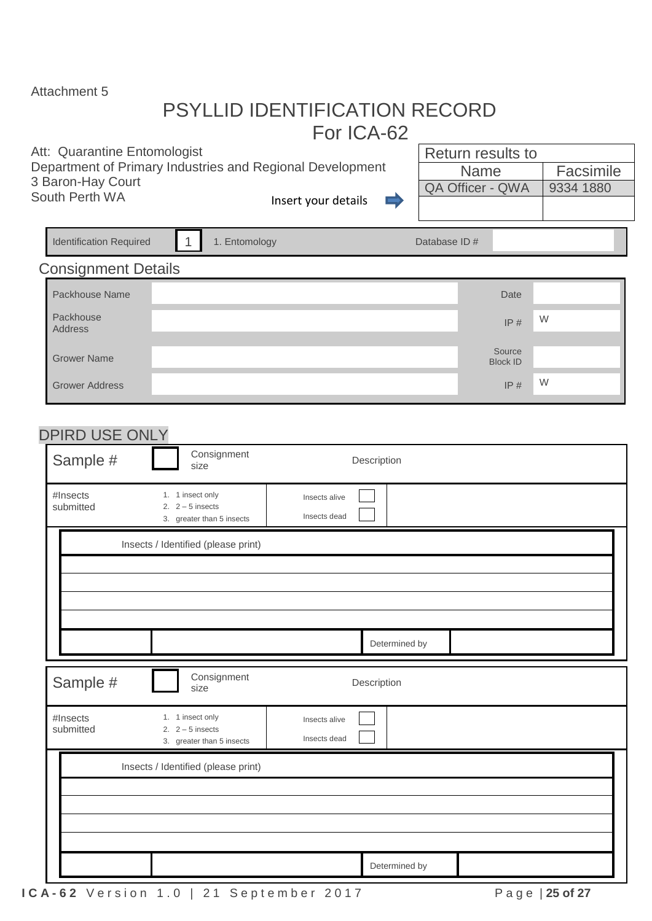### PSYLLID IDENTIFICATION RECORD For ICA-62

#### Att: Quarantine Entomologist

Department of Primary Industries and Regional Development 3 Baron-Hay Court South Perth WA Insert your details

 $\equiv$ 

| Return results to       |           |
|-------------------------|-----------|
| <b>Name</b>             | Facsimile |
| <b>QA Officer - QWA</b> | 9334 1880 |
|                         |           |

| <b>Identification Required</b>      | $\mathbf{1}$                           | 1. Entomology             | Database ID#                  |               |  |                           |   |  |  |
|-------------------------------------|----------------------------------------|---------------------------|-------------------------------|---------------|--|---------------------------|---|--|--|
| <b>Consignment Details</b>          |                                        |                           |                               |               |  |                           |   |  |  |
| Packhouse Name                      |                                        |                           |                               |               |  | Date                      |   |  |  |
| Packhouse<br>Address                |                                        |                           |                               |               |  | IP#                       | W |  |  |
| <b>Grower Name</b>                  |                                        |                           |                               |               |  | Source<br><b>Block ID</b> |   |  |  |
| <b>Grower Address</b>               |                                        |                           |                               |               |  | IP#                       | W |  |  |
| DPIRD USE ONLY                      |                                        |                           |                               |               |  |                           |   |  |  |
| Sample #                            | size                                   | Consignment               |                               | Description   |  |                           |   |  |  |
| #Insects<br>submitted               | 1. 1 insect only<br>2. $2 - 5$ insects | 3. greater than 5 insects | Insects alive<br>Insects dead |               |  |                           |   |  |  |
|                                     | Insects / Identified (please print)    |                           |                               |               |  |                           |   |  |  |
|                                     |                                        |                           |                               |               |  |                           |   |  |  |
|                                     |                                        |                           |                               |               |  |                           |   |  |  |
|                                     |                                        |                           |                               |               |  |                           |   |  |  |
|                                     |                                        |                           |                               | Determined by |  |                           |   |  |  |
| Sample #                            | size                                   | Consignment               |                               | Description   |  |                           |   |  |  |
| #Insects<br>submitted               | 1. 1 insect only<br>2. $2-5$ insects   | 3. greater than 5 insects | Insects alive<br>Insects dead |               |  |                           |   |  |  |
| Insects / Identified (please print) |                                        |                           |                               |               |  |                           |   |  |  |
|                                     |                                        |                           |                               |               |  |                           |   |  |  |
|                                     |                                        |                           |                               |               |  |                           |   |  |  |
|                                     |                                        |                           |                               |               |  |                           |   |  |  |
|                                     |                                        |                           |                               | Determined by |  |                           |   |  |  |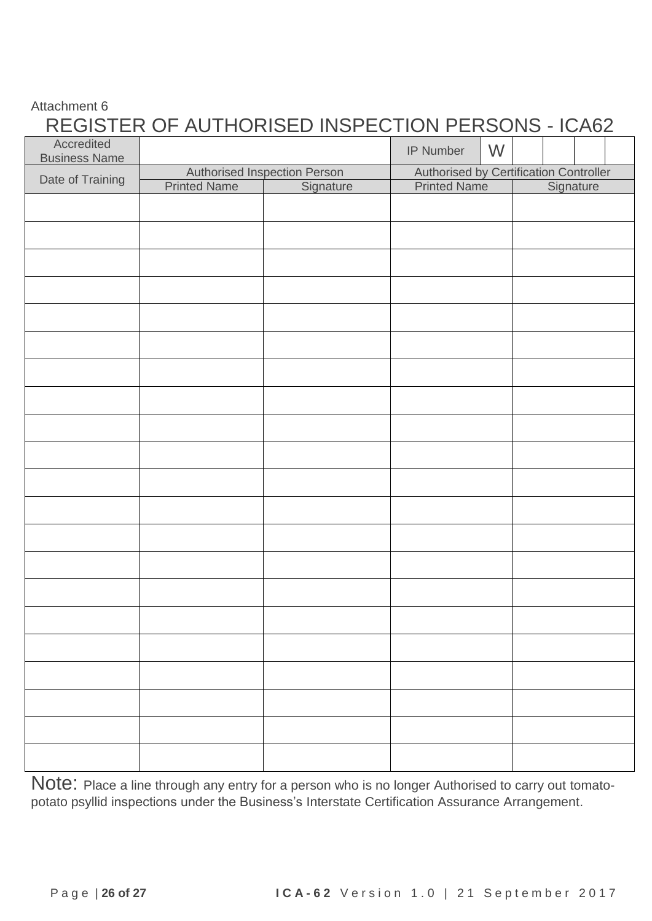### REGISTER OF AUTHORISED INSPECTION PERSONS - ICA62

| Accredited<br><b>Business Name</b> |                     |                                     | W<br>IP Number      |                                        |  |  |
|------------------------------------|---------------------|-------------------------------------|---------------------|----------------------------------------|--|--|
|                                    |                     | <b>Authorised Inspection Person</b> |                     | Authorised by Certification Controller |  |  |
| Date of Training                   | <b>Printed Name</b> | Signature                           | <b>Printed Name</b> | Signature                              |  |  |
|                                    |                     |                                     |                     |                                        |  |  |
|                                    |                     |                                     |                     |                                        |  |  |
|                                    |                     |                                     |                     |                                        |  |  |
|                                    |                     |                                     |                     |                                        |  |  |
|                                    |                     |                                     |                     |                                        |  |  |
|                                    |                     |                                     |                     |                                        |  |  |
|                                    |                     |                                     |                     |                                        |  |  |
|                                    |                     |                                     |                     |                                        |  |  |
|                                    |                     |                                     |                     |                                        |  |  |
|                                    |                     |                                     |                     |                                        |  |  |
|                                    |                     |                                     |                     |                                        |  |  |
|                                    |                     |                                     |                     |                                        |  |  |
|                                    |                     |                                     |                     |                                        |  |  |
|                                    |                     |                                     |                     |                                        |  |  |
|                                    |                     |                                     |                     |                                        |  |  |
|                                    |                     |                                     |                     |                                        |  |  |
|                                    |                     |                                     |                     |                                        |  |  |
|                                    |                     |                                     |                     |                                        |  |  |
|                                    |                     |                                     |                     |                                        |  |  |
|                                    |                     |                                     |                     |                                        |  |  |
|                                    |                     |                                     |                     |                                        |  |  |
|                                    |                     |                                     |                     |                                        |  |  |
|                                    |                     |                                     |                     |                                        |  |  |
|                                    |                     |                                     |                     |                                        |  |  |
|                                    |                     |                                     |                     |                                        |  |  |
|                                    |                     |                                     |                     |                                        |  |  |

Note: Place a line through any entry for a person who is no longer Authorised to carry out tomatopotato psyllid inspections under the Business's Interstate Certification Assurance Arrangement.